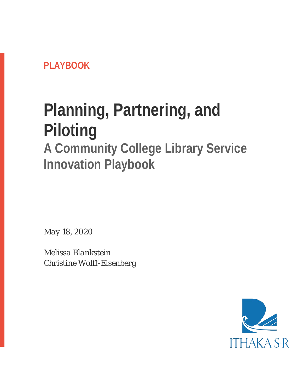**PLAYBOOK**

# **Planning, Partnering, and Piloting**

# **A Community College Library Service Innovation Playbook**

*May 18, 2020*

*Melissa Blankstein Christine Wolff-Eisenberg*

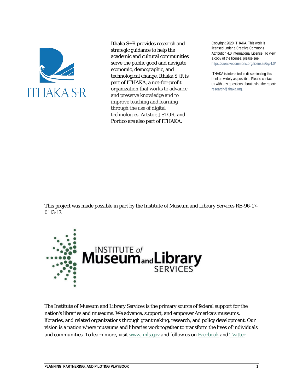

Ithaka S+R provides research and strategic guidance to help the academic and cultural communities serve the public good and navigate economic, demographic, and technological change. Ithaka S+R is part of ITHAKA, a not-for-profit organization that works to advance and preserve knowledge and to improve teaching and learning through the use of digital technologies. Artstor, JSTOR, and Portico are also part of ITHAKA.

Copyright 2020 ITHAKA. This work is licensed under a Creative Commons Attribution 4.0 International License. To view a copy of the license, please see https://creativecommons.org/licenses/by/4.0/.

ITHAKA is interested in disseminating this brief as widely as possible. Please contact us with any questions about using the report: research@ithaka.org.

This project was made possible in part by the Institute of Museum and Library Services RE-96-17- 0113-17.



The Institute of Museum and Library Services is the primary source of federal support for the nation's libraries and museums. We advance, support, and empower America's museums, libraries, and related organizations through grantmaking, research, and policy development. Our vision is a nation where museums and libraries work together to transform the lives of individuals and communities. To learn more, visit [www.imls.gov](https://www.imls.gov/) and follow us on [Facebook](http://www.facebook.com/USIMLS) and [Twitter.](http://www.twitter.com/us_imls)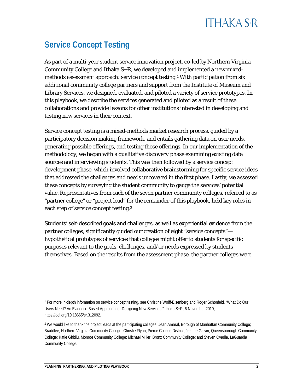### **Service Concept Testing**

As part of a multi-year student service innovation project, co-led by Northern Virginia Community College and Ithaka S+R, we developed and implemented a new mixedmethods assessment approach: service concept testing[.1](#page-2-0) With participation from six additional community college partners and support from the Institute of Museum and Library Services, we designed, evaluated, and piloted a variety of service prototypes. In this playbook, we describe the services generated and piloted as a result of these collaborations and provide lessons for other institutions interested in developing and testing new services in their context.

Service concept testing is a mixed-methods market research process, guided by a participatory decision making framework, and entails gathering data on user needs, generating possible offerings, and testing those offerings. In our implementation of the methodology, we began with a qualitative *discovery* phase examining existing data sources and interviewing students. This was then followed by a service concept *development* phase, which involved collaborative brainstorming for specific service ideas that addressed the challenges and needs uncovered in the first phase. Lastly, we *assessed* these concepts by surveying the student community to gauge the services' potential value. Representatives from each of the seven partner community colleges, referred to as "partner college" or "project lead" for the remainder of this playbook, held key roles in each step of service concept testing.[2](#page-2-1)

Students' self-described goals and challenges, as well as experiential evidence from the partner colleges, significantly guided our creation of eight "service concepts" hypothetical prototypes of services that colleges might offer to students for specific purposes relevant to the goals, challenges, and/or needs expressed by students themselves. Based on the results from the assessment phase, the partner colleges were

<span id="page-2-0"></span><sup>1</sup> For more in-depth information on service concept testing, see Christine Wolff-Eisenberg and Roger Schonfeld, "What Do Our Users Need? An Evidence-Based Approach for Designing New Services," Ithaka S+R, 6 November 2019, [https://doi.org/10.18665/sr.312092.](https://doi.org/10.18665/sr.312092)

<span id="page-2-1"></span><sup>&</sup>lt;sup>2</sup> We would like to thank the project leads at the participating colleges: Jean Amaral, Borough of Manhattan Community College; Braddlee, Northern Virginia Community College; Christie Flynn; Pierce College District; Jeanne Galvin, Queensborough Community College; Katie Ghidiu, Monroe Community College; Michael Miller, Bronx Community College; and Steven Ovadia, LaGuardia Community College.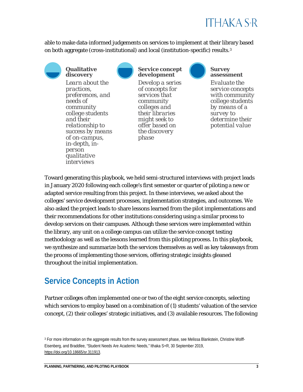

able to make data-informed judgements on services to implement at their library based on both aggregate (cross-institutional) and local (institution-specific) results.[3](#page-3-0)



**Qualitative discovery**

*Learn about the practices, preferences, and needs of community college students and their relationship to success by means of on-campus, in-depth, inperson qualitative interviews*



#### **Service concept development**

*Develop a series of concepts for services that community colleges and their libraries might seek to offer based on the discovery phase*



#### **Survey assessment**

*Evaluate the service concepts with community college students by means of a survey to determine their potential value*

Toward generating this playbook, we held semi-structured interviews with project leads in January 2020 following each college's first semester or quarter of piloting a new or adapted service resulting from this project. In these interviews, we asked about the colleges' service development processes, implementation strategies, and outcomes. We also asked the project leads to share lessons learned from the pilot implementations and their recommendations for other institutions considering using a similar process to develop services on their campuses. Although these services were implemented within the library, any unit on a college campus can utilize the service concept testing methodology as well as the lessons learned from this piloting process. In this playbook, we synthesize and summarize both the services themselves as well as key takeaways from the process of implementing those services, offering strategic insights gleaned throughout the initial implementation.

### **Service Concepts in Action**

Partner colleges often implemented one or two of the eight service concepts, selecting which services to employ based on a combination of (1) students' valuation of the service concept, (2) their colleges' strategic initiatives, and (3) available resources. The following

<span id="page-3-0"></span><sup>&</sup>lt;sup>3</sup> For more information on the aggregate results from the survey assessment phase, see Melissa Blankstein, Christine Wolff-Eisenberg, and Braddlee, "Student Needs Are Academic Needs," Ithaka S+R, 30 September 2019, [https://doi.org/10.18665/sr.311913.](https://doi.org/10.18665/sr.311913)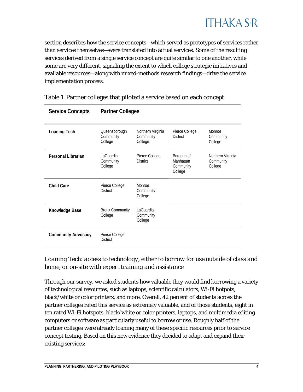

section describes how the service concepts—which served as prototypes of services rather than services themselves—were translated into actual services. Some of the resulting services derived from a single service concept are quite similar to one another, while some are very different, signaling the extent to which college strategic initiatives and available resources—along with mixed-methods research findings—drive the service implementation process.

| <b>Service Concepts</b>   | <b>Partner Colleges</b>               |                                           |                                                 |                                           |  |  |  |
|---------------------------|---------------------------------------|-------------------------------------------|-------------------------------------------------|-------------------------------------------|--|--|--|
| <b>Loaning Tech</b>       | Queensborough<br>Community<br>College | Northern Virginia<br>Community<br>College | Pierce College<br><b>District</b>               | Monroe<br>Community<br>College            |  |  |  |
| Personal Librarian        | LaGuardia<br>Community<br>College     | Pierce College<br><b>District</b>         | Borough of<br>Manhattan<br>Community<br>College | Northern Virginia<br>Community<br>College |  |  |  |
| <b>Child Care</b>         | Pierce College<br><b>District</b>     | Monroe<br>Community<br>College            |                                                 |                                           |  |  |  |
| Knowledge Base            | <b>Bronx Community</b><br>College     | LaGuardia<br>Community<br>College         |                                                 |                                           |  |  |  |
| <b>Community Advocacy</b> | Pierce College<br><b>District</b>     |                                           |                                                 |                                           |  |  |  |

#### Table 1. Partner colleges that piloted a service based on each concept

*Loaning Tech*: *access to technology, either to borrow for use outside of class and home, or on-site with expert training and assistance*

Through our survey, we asked students how valuable they would find borrowing a variety of technological resources, such as laptops, scientific calculators, Wi-Fi hotpots, black/white or color printers, and more. Overall, 42 percent of students across the partner colleges rated this service as extremely valuable, and of those students, eight in ten rated Wi-Fi hotspots, black/white or color printers, laptops, and multimedia editing computers or software as particularly useful to borrow or use. Roughly half of the partner colleges were already loaning many of these specific resources prior to service concept testing. Based on this new evidence they decided to adapt and expand their existing services: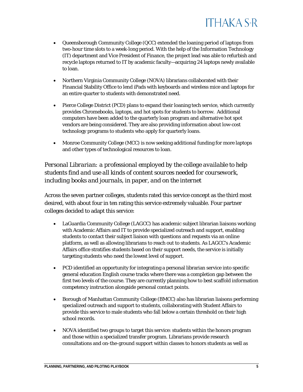

- Queensborough Community College (QCC) extended the loaning period of laptops from two-hour time slots to a week-long period. With the help of the Information Technology (IT) department and Vice President of Finance, the project lead was able to refurbish and recycle laptops returned to IT by academic faculty—acquiring 24 laptops newly available to loan.
- Northern Virginia Community College (NOVA) librarians collaborated with their Financial Stability Office to lend iPads with keyboards and wireless mice and laptops for an entire quarter to students with demonstrated need.
- Pierce College District (PCD) plans to expand their loaning tech service, which currently provides Chromebooks, laptops, and hot spots for students to borrow. Additional computers have been added to the quarterly loan program and alternative hot spot vendors are being considered. They are also providing information about low-cost technology programs to students who apply for quarterly loans.
- Monroe Community College (MCC) is now seeking additional funding for more laptops and other types of technological resources to loan.

*Personal Librarian: a professional employed by the college available to help students find and use all kinds of content sources needed for coursework, including books and journals, in paper, and on the internet*

Across the seven partner colleges, students rated this service concept as the third most desired, with about four in ten rating this service extremely valuable. Four partner colleges decided to adapt this service:

- LaGuardia Community College (LAGCC) has academic subject librarian liaisons working with Academic Affairs and IT to provide specialized outreach and support, enabling students to contact their subject liaison with questions and requests via an online platform, as well as allowing librarians to reach out to students. As LAGCC's Academic Affairs office stratifies students based on their support needs, the service is initially targeting students who need the lowest level of support.
- PCD identified an opportunity for integrating a personal librarian service into specific general education English course tracks where there was a completion gap between the first two levels of the course. They are currently planning how to best scaffold information competency instruction alongside personal contact points.
- Borough of Manhattan Community College (BMCC) also has librarian liaisons performing specialized outreach and support to students, collaborating with Student Affairs to provide this service to male students who fall below a certain threshold on their high school records.
- NOVA identified two groups to target this service: students within the honors program and those within a specialized transfer program. Librarians provide research consultations and on-the-ground support within classes to honors students as well as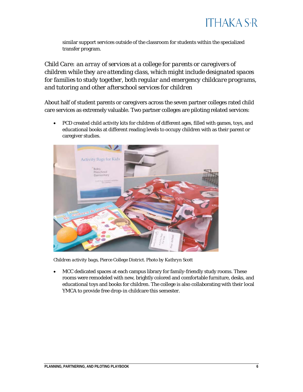

similar support services outside of the classroom for students within the specialized transfer program.

*Child Care: an array of services at a college for parents or caregivers of children while they are attending class, which might include designated spaces for families to study together, both regular and emergency childcare programs, and tutoring and other afterschool services for children*

About half of student parents or caregivers across the seven partner colleges rated child care services as extremely valuable. Two partner colleges are piloting related services:

• PCD created child activity kits for children of different ages, filled with games, toys, and educational books at different reading levels to occupy children with as their parent or caregiver studies.



*Children activity bags, Pierce College District. Photo by Kathryn Scott*

• MCC dedicated spaces at each campus library for family-friendly study rooms. These rooms were remodeled with new, brightly colored and comfortable furniture, desks, and educational toys and books for children. The college is also collaborating with their local YMCA to provide free drop-in childcare this semester.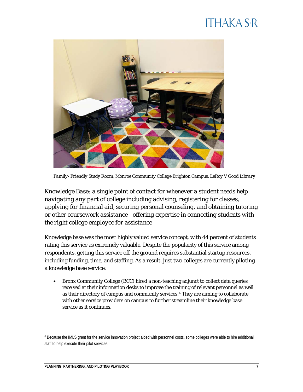

*Family- Friendly Study Room, Monroe Community College Brighton Campus, LeRoy V Good Library*

*Knowledge Base: a single point of contact for whenever a student needs help navigating any part of college including advising, registering for classes, applying for financial aid, securing personal counseling, and obtaining tutoring or other coursework assistance—offering expertise in connecting students with the right college employee for assistance*

Knowledge base was the most highly valued service concept, with 44 percent of students rating this service as extremely valuable. Despite the popularity of this service among respondents, getting this service off the ground requires substantial startup resources, including funding, time, and staffing. As a result, just two colleges are currently piloting a knowledge base service:

• Bronx Community College (BCC) hired a non-teaching adjunct to collect data queries received at their information desks to improve the training of relevant personnel as well as their directory of campus and community services.[4](#page-7-0) They are aiming to collaborate with other service providers on campus to further streamline their knowledge base service as it continues.

<span id="page-7-0"></span><sup>4</sup> Because the IMLS grant for the service innovation project aided with personnel costs, some colleges were able to hire additional staff to help execute their pilot services.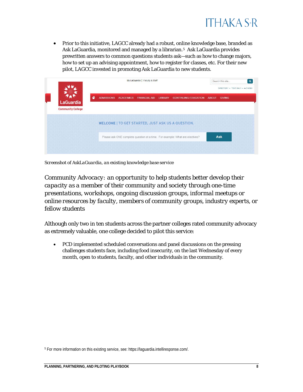

• Prior to this initiative, LAGCC already had a robust, online knowledge base, branded as Ask LaGuardia, monitored and managed by a librarian.<sup>[5](#page-8-0)</sup> Ask LaGuardia provides prewritten answers to common questions students ask—such as how to change majors, how to set up an advising appointment, how to register for classes, etc. For their new pilot, LAGCC invested in promoting Ask LaGuardia to new students.

|                          |                  | My LaGuardia   Faculty & Staff |  |                         |                |                                                                              | $\mathbf{Q}$<br>Search this site |               |                                   |
|--------------------------|------------------|--------------------------------|--|-------------------------|----------------|------------------------------------------------------------------------------|----------------------------------|---------------|-----------------------------------|
|                          |                  |                                |  |                         |                |                                                                              |                                  |               | DIRECTORY . TEXT ONLY . A-Z INDEX |
|                          | $\blacktriangle$ | <b>ADMISSIONS</b>              |  | ACADEMICS FINANCIAL AID | <b>LIBRARY</b> | <b>CONTINUING EDUCATION</b>                                                  | <b>ABOUT</b>                     | <b>GIVING</b> |                                   |
| LaGuardia                |                  |                                |  |                         |                |                                                                              |                                  |               |                                   |
| <b>Community College</b> |                  |                                |  |                         |                |                                                                              |                                  |               |                                   |
|                          |                  |                                |  |                         |                | <b>WELCOME   TO GET STARTED, JUST ASK US A QUESTION.</b>                     |                                  |               |                                   |
|                          |                  |                                |  |                         |                |                                                                              |                                  |               |                                   |
|                          |                  |                                |  |                         |                | Please ask ONE complete question at a time. For example: What are electives? |                                  | <b>Ask</b>    |                                   |
|                          |                  |                                |  |                         |                |                                                                              |                                  |               |                                   |
|                          |                  |                                |  |                         |                |                                                                              |                                  |               |                                   |

*Screenshot of AskLaGuardia, an existing knowledge base service*

*Community Advocacy: an opportunity to help students better develop their capacity as a member of their community and society through one-time presentations, workshops, ongoing discussion groups, informal meetups or online resources by faculty, members of community groups, industry experts, or fellow students*

Although only two in ten students across the partner colleges rated community advocacy as extremely valuable, one college decided to pilot this service:

• PCD implemented scheduled conversations and panel discussions on the pressing challenges students face, including food insecurity, on the last Wednesday of every month, open to students, faculty, and other individuals in the community.

<span id="page-8-0"></span><sup>5</sup> For more information on this existing service, see[: https://laguardia.intelliresponse.com/.](https://laguardia.intelliresponse.com/)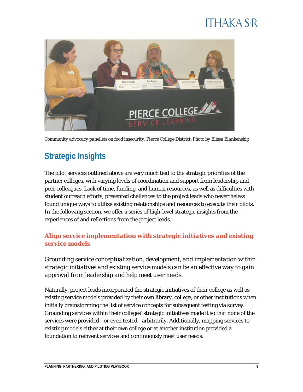

*Community advocacy panelists on food insecurity, Pierce College District. Photo by Elissa Blankenship* 

### **Strategic Insights**

The pilot services outlined above are very much tied to the strategic priorities of the partner colleges, with varying levels of coordination and support from leadership and peer colleagues. Lack of time, funding, and human resources, as well as difficulties with student outreach efforts, presented challenges to the project leads who nevertheless found unique ways to utilize existing relationships and resources to execute their pilots. In the following section, we offer a series of high-level strategic insights from the experiences of and reflections from the project leads.

#### *Align service implementation with strategic initiatives and existing service models*

*Grounding service conceptualization, development, and implementation within strategic initiatives and existing service models can be an effective way to gain approval from leadership and help meet user needs.*

Naturally, project leads incorporated the strategic initiatives of their college as well as existing service models provided by their own library, college, or other institutions when initially brainstorming the list of service concepts for subsequent testing via survey. Grounding services within their colleges' strategic initiatives made it so that none of the services were provided—or even tested—arbitrarily. Additionally, mapping services to existing models either at their own college or at another institution provided a foundation to reinvent services and continuously meet user needs.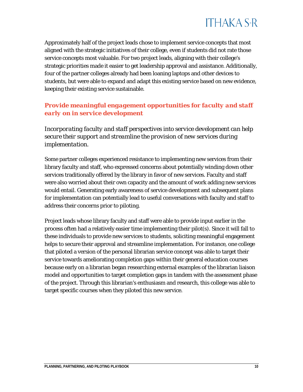

Approximately half of the project leads chose to implement service concepts that most aligned with the strategic initiatives of their college, even if students did not rate those service concepts most valuable. For two project leads, aligning with their college's strategic priorities made it easier to get leadership approval and assistance. Additionally, four of the partner colleges already had been loaning laptops and other devices to students, but were able to expand and adapt this existing service based on new evidence, keeping their existing service sustainable.

#### *Provide meaningful engagement opportunities for faculty and staff early on in service development*

*Incorporating faculty and staff perspectives into service development can help secure their support and streamline the provision of new services during implementation.*

Some partner colleges experienced resistance to implementing new services from their library faculty and staff, who expressed concerns about potentially winding down other services traditionally offered by the library in favor of new services. Faculty and staff were also worried about their own capacity and the amount of work adding new services would entail. Generating early awareness of service development and subsequent plans for implementation can potentially lead to useful conversations with faculty and staff to address their concerns prior to piloting.

Project leads whose library faculty and staff were able to provide input earlier in the process often had a relatively easier time implementing their pilot(s). Since it will fall to these individuals to provide new services to students, soliciting meaningful engagement helps to secure their approval and streamline implementation. For instance, one college that piloted a version of the personal librarian service concept was able to target their service towards ameliorating completion gaps within their general education courses because early on a librarian began researching external examples of the librarian liaison model and opportunities to target completion gaps in tandem with the assessment phase of the project. Through this librarian's enthusiasm and research, this college was able to target specific courses when they piloted this new service.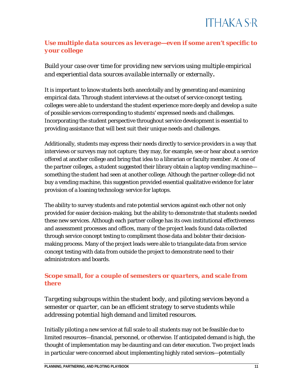#### *Use multiple data sources as leverage—even if some aren't specific to your college*

*Build your case over time for providing new services using multiple empirical and experiential data sources available internally or externally.*

It is important to know students both anecdotally and by generating and examining empirical data. Through student interviews at the outset of service concept testing, colleges were able to understand the student experience more deeply and develop a suite of possible services corresponding to students' expressed needs and challenges. Incorporating the student perspective throughout service development is essential to providing assistance that will best suit their unique needs and challenges.

Additionally, students may express their needs directly to service providers in a way that interviews or surveys may not capture; they may, for example, see or hear about a service offered at another college and bring that idea to a librarian or faculty member. At one of the partner colleges, a student suggested their library obtain a laptop vending machine something the student had seen at another college. Although the partner college did not buy a vending machine, this suggestion provided essential qualitative evidence for later provision of a loaning technology service for laptops.

The ability to survey students and rate potential services against each other not only provided for easier decision-making, but the ability to demonstrate that students needed these new services. Although each partner college has its own institutional effectiveness and assessment processes and offices, many of the project leads found data collected through service concept testing to compliment those data and bolster their decisionmaking process. Many of the project leads were able to triangulate data from service concept testing with data from outside the project to demonstrate need to their administrators and boards.

#### *Scope small, for a couple of semesters or quarters, and scale from there*

*Targeting subgroups within the student body, and piloting services beyond a semester or quarter, can be an efficient strategy to serve students while addressing potential high demand and limited resources.*

Initially piloting a new service at full scale to all students may not be feasible due to limited resources—financial, personnel, or otherwise. If anticipated demand is high, the thought of implementation may be daunting and can deter execution. Two project leads in particular were concerned about implementing highly rated services—potentially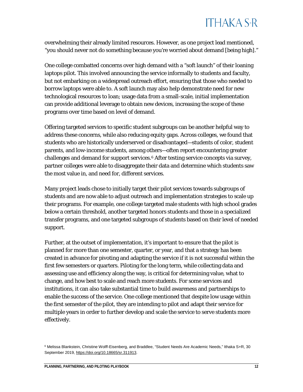overwhelming their already limited resources. However, as one project lead mentioned, "you should never *not* do something because you're worried about demand [being high]."

One college combatted concerns over high demand with a "soft launch" of their loaning laptops pilot. This involved announcing the service informally to students and faculty, but not embarking on a widespread outreach effort, ensuring that those who needed to borrow laptops were able to. A soft launch may also help demonstrate need for new technological resources to loan; usage data from a small-scale, initial implementation can provide additional leverage to obtain new devices, increasing the scope of these programs over time based on level of demand.

Offering targeted services to specific student subgroups can be another helpful way to address these concerns, while also reducing equity gaps. Across colleges, we found that students who are historically underserved or disadvantaged—students of color, student parents, and low-income students, among others—often report encountering greater challenges and demand for support services.<sup>[6](#page-12-0)</sup> After testing service concepts via survey, partner colleges were able to disaggregate their data and determine which students saw the most value in, and need for, different services.

Many project leads chose to initially target their pilot services towards subgroups of students and are now able to adjust outreach and implementation strategies to scale up their programs. For example, one college targeted male students with high school grades below a certain threshold, another targeted honors students and those in a specialized transfer programs, and one targeted subgroups of students based on their level of needed support.

Further, at the outset of implementation, it's important to ensure that the pilot is planned for more than one semester, quarter, or year, and that a strategy has been created in advance for pivoting and adapting the service if it is not successful within the first few semesters or quarters. Piloting for the long term, while collecting data and assessing use and efficiency along the way, is critical for determining value, what to change, and how best to scale and reach more students. For some services and institutions, it can also take substantial time to build awareness and partnerships to enable the success of the service. One college mentioned that despite low usage within the first semester of the pilot, they are intending to pilot and adapt their service for multiple years in order to further develop and scale the service to serve students more effectively.

<span id="page-12-0"></span><sup>6</sup> Melissa Blankstein, Christine Wolff-Eisenberg, and Braddlee, "Student Needs Are Academic Needs," Ithaka S+R, 30 September 2019[, https://doi.org/10.18665/sr.311913.](https://doi.org/10.18665/sr.311913)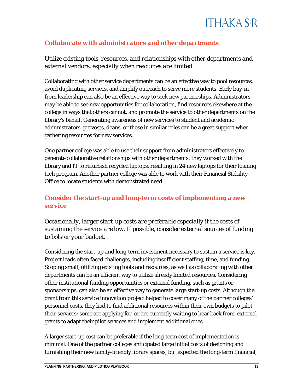#### *Collaborate with administrators and other departments*

*Utilize existing tools, resources, and relationships with other departments and external vendors, especially when resources are limited.*

Collaborating with other service departments can be an effective way to pool resources, avoid duplicating services, and amplify outreach to serve more students. Early buy-in from leadership can also be an effective way to seek new partnerships. Administrators may be able to see new opportunities for collaboration, find resources elsewhere at the college in ways that others cannot, and promote the service to other departments on the library's behalf. Generating awareness of new services to student and academic administrators, provosts, deans, or those in similar roles can be a great support when gathering resources for new services.

One partner college was able to use their support from administrators effectively to generate collaborative relationships with other departments: they worked with the library and IT to refurbish recycled laptops, resulting in 24 new laptops for their loaning tech program. Another partner college was able to work with their Financial Stability Office to locate students with demonstrated need.

#### *Consider the start-up and long-term costs of implementing a new service*

*Occasionally, larger start-up costs are preferable especially if the costs of sustaining the service are low. If possible, consider external sources of funding to bolster your budget.* 

Considering the start-up *and* long-term investment necessary to sustain a service is key. Project leads often faced challenges, including insufficient staffing, time, and funding. Scoping small, utilizing existing tools and resources, as well as collaborating with other departments can be an efficient way to utilize already limited resources. Considering other institutional funding opportunities or external funding, such as grants or sponsorships, can also be an effective way to generate large start-up costs. Although the grant from this service innovation project helped to cover many of the partner colleges' personnel costs, they had to find additional resources within their own budgets to pilot their services; some are applying for, or are currently waiting to hear back from, external grants to adapt their pilot services and implement additional ones.

A larger start-up cost can be preferable if the long-term cost of implementation is minimal. One of the partner colleges anticipated large initial costs of designing and furnishing their new family-friendly library spaces, but expected the long-term financial,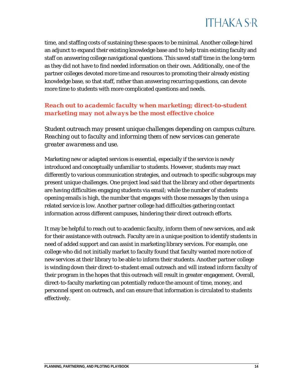

time, and staffing costs of sustaining these spaces to be minimal. Another college hired an adjunct to expand their existing knowledge base and to help train existing faculty and staff on answering college navigational questions. This saved staff time in the long-term as they did not have to find needed information on their own. Additionally, one of the partner colleges devoted more time and resources to promoting their already existing knowledge base, so that staff, rather than answering recurring questions, can devote more time to students with more complicated questions and needs.

#### *Reach out to academic faculty when marketing; direct-to-student marketing may not always be the most effective choice*

*Student outreach may present unique challenges depending on campus culture. Reaching out to faculty and informing them of new services can generate greater awareness and use.*

Marketing new or adapted services is essential, especially if the service is newly introduced and conceptually unfamiliar to students. However, students may react differently to various communication strategies, and outreach to specific subgroups may present unique challenges. One project lead said that the library and other departments are having difficulties engaging students via email; while the number of students opening emails is high, the number that engages with those messages by then using a related service is low. Another partner college had difficulties gathering contact information across different campuses, hindering their direct outreach efforts.

It may be helpful to reach out to academic faculty, inform them of new services, and ask for their assistance with outreach. Faculty are in a unique position to identify students in need of added support and can assist in marketing library services. For example, one college who did not initially market to faculty found that faculty wanted more notice of new services at their library to be able to inform their students. Another partner college is winding down their direct-to-student email outreach and will instead inform faculty of their program in the hopes that this outreach will result in greater engagement. Overall, direct-to-faculty marketing can potentially reduce the amount of time, money, and personnel spent on outreach, and can ensure that information is circulated to students effectively.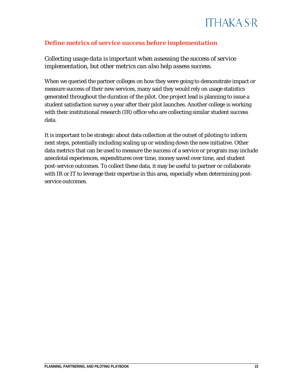

#### *Define metrics of service success before implementation*

*Collecting usage data is important when assessing the success of service implementation, but other metrics can also help assess success.*

When we queried the partner colleges on how they were going to demonstrate impact or measure success of their new services, many said they would rely on usage statistics generated throughout the duration of the pilot. One project lead is planning to issue a student satisfaction survey a year after their pilot launches. Another college is working with their institutional research (IR) office who are collecting similar student success data.

It is important to be strategic about data collection at the outset of piloting to inform next steps, potentially including scaling up or winding down the new initiative. Other data metrics that can be used to measure the success of a service or program may include anecdotal experiences, expenditures over time, money saved over time, and student post-service outcomes. To collect these data, it may be useful to partner or collaborate with IR or IT to leverage their expertise in this area, especially when determining postservice outcomes.